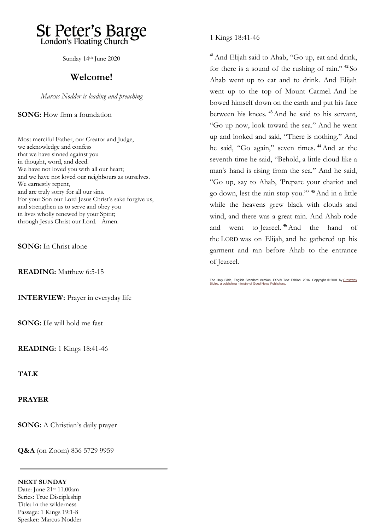

Sunday 14th June 2020

## **Welcome!**

*Marcus Nodder is leading and preaching*

**SONG:** How firm a foundation

Most merciful Father, our Creator and Judge, we acknowledge and confess that we have sinned against you in thought, word, and deed. We have not loved you with all our heart; and we have not loved our neighbours as ourselves. We earnestly repent, and are truly sorry for all our sins. For your Son our Lord Jesus Christ's sake forgive us, and strengthen us to serve and obey you in lives wholly renewed by your Spirit; through Jesus Christ our Lord. Amen.

**SONG:** In Christ alone

**READING:** Matthew 6:5-15

**INTERVIEW:** Prayer in everyday life

**SONG:** He will hold me fast

**READING:** 1 Kings 18:41-46

**TALK**

**PRAYER**

**SONG:** A Christian's daily prayer

**Q&A** (on Zoom) 836 5729 9959

#### **NEXT SUNDAY**

Date: June 21st 11.00am Series: True Discipleship Title: In the wilderness Passage: 1 Kings 19:1-8 Speaker: Marcus Nodder 1 Kings 18:41-46

**<sup>41</sup>**And Elijah said to Ahab, "Go up, eat and drink, for there is a sound of the rushing of rain." **<sup>42</sup>** So Ahab went up to eat and to drink. And Elijah went up to the top of Mount Carmel. And he bowed himself down on the earth and put his face between his knees. **<sup>43</sup>**And he said to his servant, "Go up now, look toward the sea." And he went up and looked and said, "There is nothing." And he said, "Go again," seven times. **<sup>44</sup>**And at the seventh time he said, "Behold, a little cloud like a man's hand is rising from the sea." And he said, "Go up, say to Ahab, 'Prepare your chariot and go down, lest the rain stop you.'" **<sup>45</sup>**And in a little while the heavens grew black with clouds and wind, and there was a great rain. And Ahab rode and went to Jezreel. **<sup>46</sup>**And the hand of the LORD was on Elijah, and he gathered up his garment and ran before Ahab to the entrance of Jezreel.

The Holy Bible, English Standard Version. ESV® Text Edition: 2016. Copyright © 2001 by <u>Crossway</u><br>[Bibles, a publishing ministry of Good News](https://www.crossway.org/) Publishers.